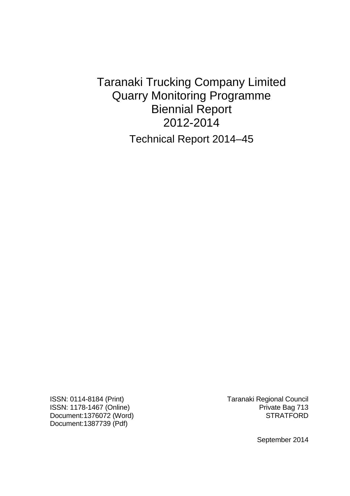Taranaki Trucking Company Limited Quarry Monitoring Programme Biennial Report 2012-2014 Technical Report 2014–45

ISSN: 1178-1467 (Online) **Private Bag 713** Document:1376072 (Word) STRATFORD Document:1387739 (Pdf)

ISSN: 0114-8184 (Print) Taranaki Regional Council

September 2014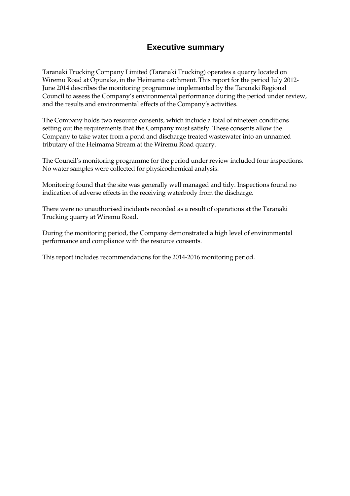## **Executive summary**

Taranaki Trucking Company Limited (Taranaki Trucking) operates a quarry located on Wiremu Road at Opunake, in the Heimama catchment. This report for the period July 2012- June 2014 describes the monitoring programme implemented by the Taranaki Regional Council to assess the Company's environmental performance during the period under review, and the results and environmental effects of the Company's activities.

The Company holds two resource consents, which include a total of nineteen conditions setting out the requirements that the Company must satisfy. These consents allow the Company to take water from a pond and discharge treated wastewater into an unnamed tributary of the Heimama Stream at the Wiremu Road quarry.

The Council's monitoring programme for the period under review included four inspections. No water samples were collected for physicochemical analysis.

Monitoring found that the site was generally well managed and tidy. Inspections found no indication of adverse effects in the receiving waterbody from the discharge.

There were no unauthorised incidents recorded as a result of operations at the Taranaki Trucking quarry at Wiremu Road.

During the monitoring period, the Company demonstrated a high level of environmental performance and compliance with the resource consents.

This report includes recommendations for the 2014-2016 monitoring period.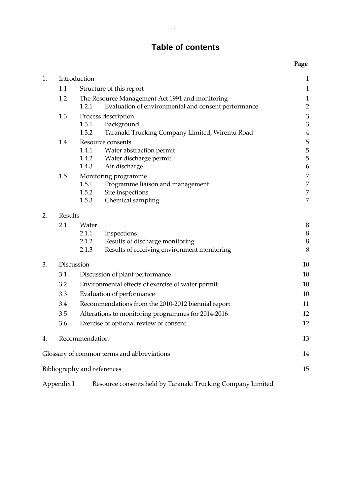## **Table of contents**

**Page** 

| 1. |                                        | Introduction                                       |                                                                                                        | $\mathbf{1}$                          |
|----|----------------------------------------|----------------------------------------------------|--------------------------------------------------------------------------------------------------------|---------------------------------------|
|    | 1.1                                    | Structure of this report                           |                                                                                                        | $\mathbf{1}$                          |
|    | 1.2                                    | 1.2.1                                              | The Resource Management Act 1991 and monitoring<br>Evaluation of environmental and consent performance | $\mathbf{1}$<br>$\overline{c}$        |
|    | 1.3                                    | 1.3.1<br>1.3.2                                     | Process description<br>Background<br>Taranaki Trucking Company Limited, Wiremu Road                    | $\mathfrak{Z}$<br>3<br>$\overline{4}$ |
|    | 1.4                                    | 1.4.1<br>1.4.2<br>1.4.3                            | Resource consents<br>Water abstraction permit<br>Water discharge permit<br>Air discharge               | 5<br>5<br>5<br>6                      |
|    | 1.5                                    | 1.5.1<br>1.5.2<br>1.5.3                            | Monitoring programme<br>Programme liaison and management<br>Site inspections<br>Chemical sampling      | 7<br>7<br>7<br>7                      |
| 2. | <b>Results</b>                         |                                                    |                                                                                                        |                                       |
|    | 2.1                                    | Water<br>2.1.1<br>2.1.2<br>2.1.3                   | Inspections<br>Results of discharge monitoring<br>Results of receiving environment monitoring          | 8<br>8<br>8<br>8                      |
| 3. | Discussion                             |                                                    | 10                                                                                                     |                                       |
|    | 3.1<br>Discussion of plant performance |                                                    | 10                                                                                                     |                                       |
|    | 3.2                                    | Environmental effects of exercise of water permit  |                                                                                                        | 10                                    |
|    | 3.3                                    | Evaluation of performance                          |                                                                                                        | 10                                    |
|    | 3.4                                    | Recommendations from the 2010-2012 biennial report |                                                                                                        | 11                                    |
|    | 3.5                                    | Alterations to monitoring programmes for 2014-2016 |                                                                                                        | 12                                    |
|    | 3.6                                    |                                                    | Exercise of optional review of consent                                                                 | 12                                    |
| 4. |                                        | Recommendation                                     |                                                                                                        | 13                                    |
|    |                                        |                                                    | Glossary of common terms and abbreviations                                                             | 14                                    |
|    |                                        | Bibliography and references                        |                                                                                                        | 15                                    |

Appendix I Resource consents held by Taranaki Trucking Company Limited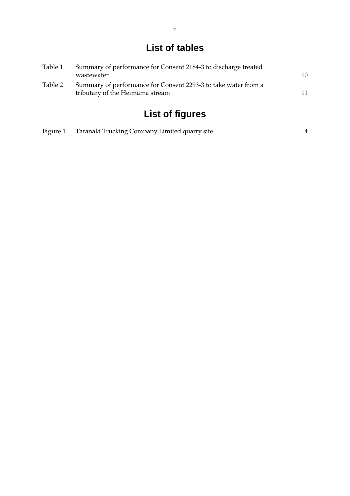## **List of tables**

| Table 1 | Summary of performance for Consent 2184-3 to discharge treated                                    |    |
|---------|---------------------------------------------------------------------------------------------------|----|
|         | wastewater                                                                                        | 10 |
| Table 2 | Summary of performance for Consent 2293-3 to take water from a<br>tributary of the Heimama stream | 11 |

# **List of figures**

|  | Figure 1 Taranaki Trucking Company Limited quarry site |  |
|--|--------------------------------------------------------|--|
|--|--------------------------------------------------------|--|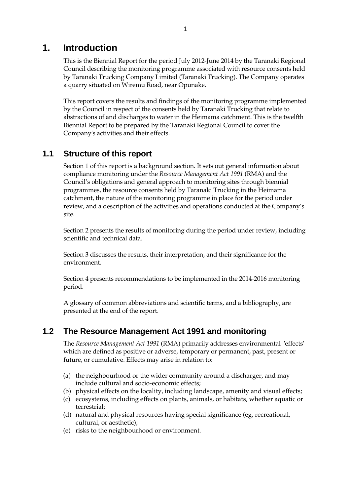## **1. Introduction**

This is the Biennial Report for the period July 2012-June 2014 by the Taranaki Regional Council describing the monitoring programme associated with resource consents held by Taranaki Trucking Company Limited (Taranaki Trucking). The Company operates a quarry situated on Wiremu Road, near Opunake.

This report covers the results and findings of the monitoring programme implemented by the Council in respect of the consents held by Taranaki Trucking that relate to abstractions of and discharges to water in the Heimama catchment. This is the twelfth Biennial Report to be prepared by the Taranaki Regional Council to cover the Company's activities and their effects.

## **1.1 Structure of this report**

Section 1 of this report is a background section. It sets out general information about compliance monitoring under the *Resource Management Act 1991* (RMA) and the Council's obligations and general approach to monitoring sites through biennial programmes, the resource consents held by Taranaki Trucking in the Heimama catchment, the nature of the monitoring programme in place for the period under review, and a description of the activities and operations conducted at the Company's site.

Section 2 presents the results of monitoring during the period under review, including scientific and technical data.

Section 3 discusses the results, their interpretation, and their significance for the environment.

Section 4 presents recommendations to be implemented in the 2014-2016 monitoring period.

A glossary of common abbreviations and scientific terms, and a bibliography, are presented at the end of the report.

## **1.2 The Resource Management Act 1991 and monitoring**

The *Resource Management Act 1991* (RMA) primarily addresses environmental 'effects' which are defined as positive or adverse, temporary or permanent, past, present or future, or cumulative. Effects may arise in relation to:

- (a) the neighbourhood or the wider community around a discharger, and may include cultural and socio-economic effects;
- (b) physical effects on the locality, including landscape, amenity and visual effects;
- (c) ecosystems, including effects on plants, animals, or habitats, whether aquatic or terrestrial;
- (d) natural and physical resources having special significance (eg, recreational, cultural, or aesthetic);
- (e) risks to the neighbourhood or environment.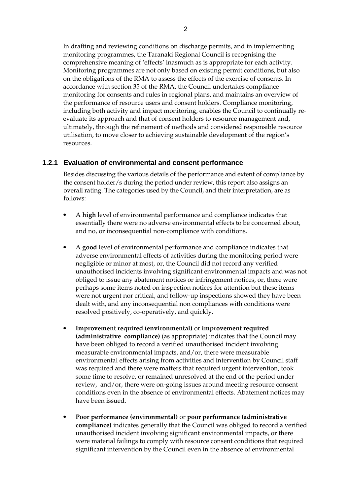In drafting and reviewing conditions on discharge permits, and in implementing monitoring programmes, the Taranaki Regional Council is recognising the comprehensive meaning of 'effects' inasmuch as is appropriate for each activity. Monitoring programmes are not only based on existing permit conditions, but also on the obligations of the RMA to assess the effects of the exercise of consents. In accordance with section 35 of the RMA, the Council undertakes compliance monitoring for consents and rules in regional plans, and maintains an overview of the performance of resource users and consent holders. Compliance monitoring, including both activity and impact monitoring, enables the Council to continually reevaluate its approach and that of consent holders to resource management and, ultimately, through the refinement of methods and considered responsible resource utilisation, to move closer to achieving sustainable development of the region's resources.

#### **1.2.1 Evaluation of environmental and consent performance**

Besides discussing the various details of the performance and extent of compliance by the consent holder/s during the period under review, this report also assigns an overall rating. The categories used by the Council, and their interpretation, are as follows:

- A **high** level of environmental performance and compliance indicates that essentially there were no adverse environmental effects to be concerned about, and no, or inconsequential non-compliance with conditions.
- A **good** level of environmental performance and compliance indicates that adverse environmental effects of activities during the monitoring period were negligible or minor at most, or, the Council did not record any verified unauthorised incidents involving significant environmental impacts and was not obliged to issue any abatement notices or infringement notices, or, there were perhaps some items noted on inspection notices for attention but these items were not urgent nor critical, and follow-up inspections showed they have been dealt with, and any inconsequential non compliances with conditions were resolved positively, co-operatively, and quickly.
- **Improvement required (environmental)** or **improvement required (administrative compliance)** (as appropriate) indicates that the Council may have been obliged to record a verified unauthorised incident involving measurable environmental impacts, and/or, there were measurable environmental effects arising from activities and intervention by Council staff was required and there were matters that required urgent intervention, took some time to resolve, or remained unresolved at the end of the period under review, and/or, there were on-going issues around meeting resource consent conditions even in the absence of environmental effects. Abatement notices may have been issued.
- **Poor performance (environmental)** or **poor performance (administrative compliance)** indicates generally that the Council was obliged to record a verified unauthorised incident involving significant environmental impacts, or there were material failings to comply with resource consent conditions that required significant intervention by the Council even in the absence of environmental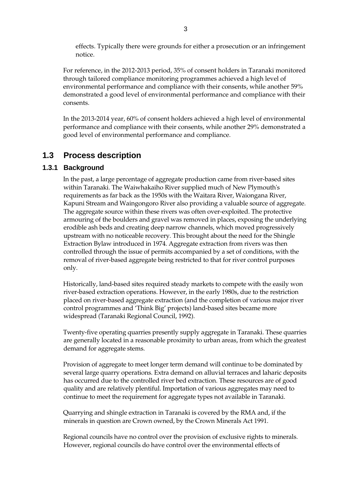effects. Typically there were grounds for either a prosecution or an infringement notice.

For reference, in the 2012-2013 period, 35% of consent holders in Taranaki monitored through tailored compliance monitoring programmes achieved a high level of environmental performance and compliance with their consents, while another 59% demonstrated a good level of environmental performance and compliance with their consents.

In the 2013-2014 year, 60% of consent holders achieved a high level of environmental performance and compliance with their consents, while another 29% demonstrated a good level of environmental performance and compliance.

## **1.3 Process description**

#### **1.3.1 Background**

 In the past, a large percentage of aggregate production came from river-based sites within Taranaki. The Waiwhakaiho River supplied much of New Plymouth's requirements as far back as the 1950s with the Waitara River, Waiongana River, Kapuni Stream and Waingongoro River also providing a valuable source of aggregate. The aggregate source within these rivers was often over-exploited. The protective armouring of the boulders and gravel was removed in places, exposing the underlying erodible ash beds and creating deep narrow channels, which moved progressively upstream with no noticeable recovery. This brought about the need for the Shingle Extraction Bylaw introduced in 1974. Aggregate extraction from rivers was then controlled through the issue of permits accompanied by a set of conditions, with the removal of river-based aggregate being restricted to that for river control purposes only.

 Historically, land-based sites required steady markets to compete with the easily won river-based extraction operations. However, in the early 1980s, due to the restriction placed on river-based aggregate extraction (and the completion of various major river control programmes and 'Think Big' projects) land-based sites became more widespread (Taranaki Regional Council, 1992).

 Twenty-five operating quarries presently supply aggregate in Taranaki. These quarries are generally located in a reasonable proximity to urban areas, from which the greatest demand for aggregate stems.

 Provision of aggregate to meet longer term demand will continue to be dominated by several large quarry operations. Extra demand on alluvial terraces and laharic deposits has occurred due to the controlled river bed extraction. These resources are of good quality and are relatively plentiful. Importation of various aggregates may need to continue to meet the requirement for aggregate types not available in Taranaki.

 Quarrying and shingle extraction in Taranaki is covered by the RMA and, if the minerals in question are Crown owned, by the Crown Minerals Act 1991.

 Regional councils have no control over the provision of exclusive rights to minerals. However, regional councils do have control over the environmental effects of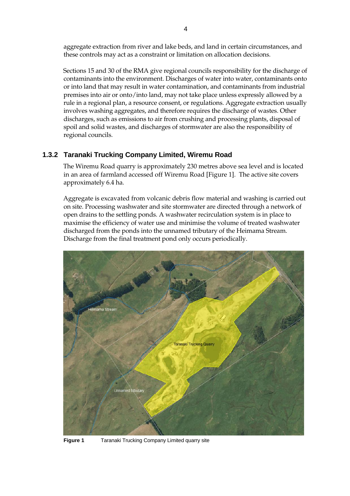aggregate extraction from river and lake beds, and land in certain circumstances, and these controls may act as a constraint or limitation on allocation decisions.

 Sections 15 and 30 of the RMA give regional councils responsibility for the discharge of contaminants into the environment. Discharges of water into water, contaminants onto or into land that may result in water contamination, and contaminants from industrial premises into air or onto/into land, may not take place unless expressly allowed by a rule in a regional plan, a resource consent, or regulations. Aggregate extraction usually involves washing aggregates, and therefore requires the discharge of wastes. Other discharges, such as emissions to air from crushing and processing plants, disposal of spoil and solid wastes, and discharges of stormwater are also the responsibility of regional councils.

#### **1.3.2 Taranaki Trucking Company Limited, Wiremu Road**

The Wiremu Road quarry is approximately 230 metres above sea level and is located in an area of farmland accessed off Wiremu Road [Figure 1]. The active site covers approximately 6.4 ha.

Aggregate is excavated from volcanic debris flow material and washing is carried out on site. Processing washwater and site stormwater are directed through a network of open drains to the settling ponds. A washwater recirculation system is in place to maximise the efficiency of water use and minimise the volume of treated washwater discharged from the ponds into the unnamed tributary of the Heimama Stream. Discharge from the final treatment pond only occurs periodically.



**Figure 1** Taranaki Trucking Company Limited quarry site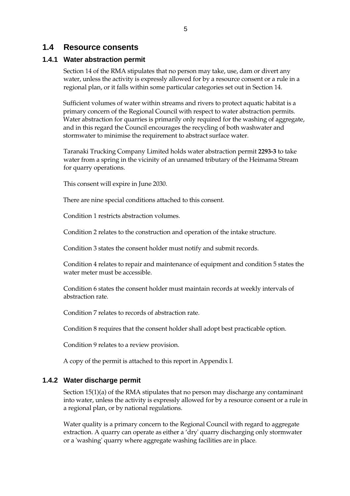#### **1.4 Resource consents**

#### **1.4.1 Water abstraction permit**

Section 14 of the RMA stipulates that no person may take, use, dam or divert any water, unless the activity is expressly allowed for by a resource consent or a rule in a regional plan, or it falls within some particular categories set out in Section 14.

Sufficient volumes of water within streams and rivers to protect aquatic habitat is a primary concern of the Regional Council with respect to water abstraction permits. Water abstraction for quarries is primarily only required for the washing of aggregate, and in this regard the Council encourages the recycling of both washwater and stormwater to minimise the requirement to abstract surface water.

Taranaki Trucking Company Limited holds water abstraction permit **2293-3** to take water from a spring in the vicinity of an unnamed tributary of the Heimama Stream for quarry operations.

This consent will expire in June 2030.

There are nine special conditions attached to this consent.

Condition 1 restricts abstraction volumes.

Condition 2 relates to the construction and operation of the intake structure.

Condition 3 states the consent holder must notify and submit records.

Condition 4 relates to repair and maintenance of equipment and condition 5 states the water meter must be accessible.

Condition 6 states the consent holder must maintain records at weekly intervals of abstraction rate.

Condition 7 relates to records of abstraction rate.

Condition 8 requires that the consent holder shall adopt best practicable option.

Condition 9 relates to a review provision.

A copy of the permit is attached to this report in Appendix I.

#### **1.4.2 Water discharge permit**

Section 15(1)(a) of the RMA stipulates that no person may discharge any contaminant into water, unless the activity is expressly allowed for by a resource consent or a rule in a regional plan, or by national regulations.

Water quality is a primary concern to the Regional Council with regard to aggregate extraction. A quarry can operate as either a 'dry' quarry discharging only stormwater or a 'washing' quarry where aggregate washing facilities are in place.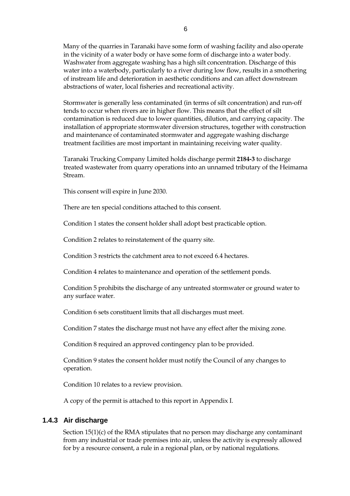Many of the quarries in Taranaki have some form of washing facility and also operate in the vicinity of a water body or have some form of discharge into a water body. Washwater from aggregate washing has a high silt concentration. Discharge of this water into a waterbody, particularly to a river during low flow, results in a smothering of instream life and deterioration in aesthetic conditions and can affect downstream abstractions of water, local fisheries and recreational activity.

Stormwater is generally less contaminated (in terms of silt concentration) and run-off tends to occur when rivers are in higher flow. This means that the effect of silt contamination is reduced due to lower quantities, dilution, and carrying capacity. The installation of appropriate stormwater diversion structures, together with construction and maintenance of contaminated stormwater and aggregate washing discharge treatment facilities are most important in maintaining receiving water quality.

Taranaki Trucking Company Limited holds discharge permit **2184-3** to discharge treated wastewater from quarry operations into an unnamed tributary of the Heimama Stream.

This consent will expire in June 2030.

There are ten special conditions attached to this consent.

Condition 1 states the consent holder shall adopt best practicable option.

Condition 2 relates to reinstatement of the quarry site.

Condition 3 restricts the catchment area to not exceed 6.4 hectares.

Condition 4 relates to maintenance and operation of the settlement ponds.

Condition 5 prohibits the discharge of any untreated stormwater or ground water to any surface water.

Condition 6 sets constituent limits that all discharges must meet.

Condition 7 states the discharge must not have any effect after the mixing zone.

Condition 8 required an approved contingency plan to be provided.

Condition 9 states the consent holder must notify the Council of any changes to operation.

Condition 10 relates to a review provision.

A copy of the permit is attached to this report in Appendix I.

#### **1.4.3 Air discharge**

Section 15(1)(c) of the RMA stipulates that no person may discharge any contaminant from any industrial or trade premises into air, unless the activity is expressly allowed for by a resource consent, a rule in a regional plan, or by national regulations.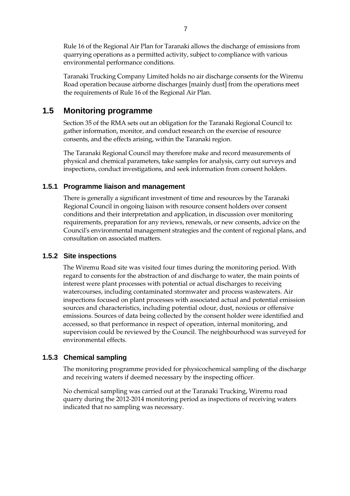Rule 16 of the Regional Air Plan for Taranaki allows the discharge of emissions from quarrying operations as a permitted activity, subject to compliance with various environmental performance conditions.

Taranaki Trucking Company Limited holds no air discharge consents for the Wiremu Road operation because airborne discharges [mainly dust] from the operations meet the requirements of Rule 16 of the Regional Air Plan.

## **1.5 Monitoring programme**

Section 35 of the RMA sets out an obligation for the Taranaki Regional Council to: gather information, monitor, and conduct research on the exercise of resource consents, and the effects arising, within the Taranaki region.

The Taranaki Regional Council may therefore make and record measurements of physical and chemical parameters, take samples for analysis, carry out surveys and inspections, conduct investigations, and seek information from consent holders.

#### **1.5.1 Programme liaison and management**

There is generally a significant investment of time and resources by the Taranaki Regional Council in ongoing liaison with resource consent holders over consent conditions and their interpretation and application, in discussion over monitoring requirements, preparation for any reviews, renewals, or new consents, advice on the Council's environmental management strategies and the content of regional plans, and consultation on associated matters.

#### **1.5.2 Site inspections**

The Wiremu Road site was visited four times during the monitoring period. With regard to consents for the abstraction of and discharge to water, the main points of interest were plant processes with potential or actual discharges to receiving watercourses, including contaminated stormwater and process wastewaters. Air inspections focused on plant processes with associated actual and potential emission sources and characteristics, including potential odour, dust, noxious or offensive emissions. Sources of data being collected by the consent holder were identified and accessed, so that performance in respect of operation, internal monitoring, and supervision could be reviewed by the Council. The neighbourhood was surveyed for environmental effects.

#### **1.5.3 Chemical sampling**

The monitoring programme provided for physicochemical sampling of the discharge and receiving waters if deemed necessary by the inspecting officer.

No chemical sampling was carried out at the Taranaki Trucking, Wiremu road quarry during the 2012-2014 monitoring period as inspections of receiving waters indicated that no sampling was necessary.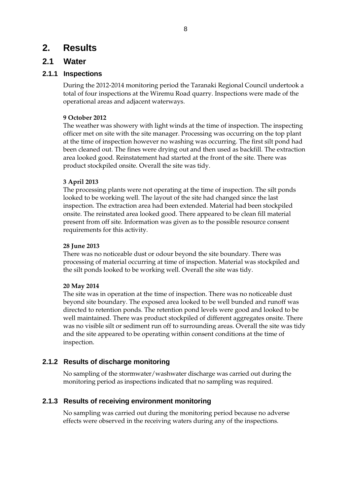## **2. Results**

### **2.1 Water**

#### **2.1.1 Inspections**

During the 2012-2014 monitoring period the Taranaki Regional Council undertook a total of four inspections at the Wiremu Road quarry. Inspections were made of the operational areas and adjacent waterways.

#### **9 October 2012**

The weather was showery with light winds at the time of inspection. The inspecting officer met on site with the site manager. Processing was occurring on the top plant at the time of inspection however no washing was occurring. The first silt pond had been cleaned out. The fines were drying out and then used as backfill. The extraction area looked good. Reinstatement had started at the front of the site. There was product stockpiled onsite. Overall the site was tidy.

#### **3 April 2013**

The processing plants were not operating at the time of inspection. The silt ponds looked to be working well. The layout of the site had changed since the last inspection. The extraction area had been extended. Material had been stockpiled onsite. The reinstated area looked good. There appeared to be clean fill material present from off site. Information was given as to the possible resource consent requirements for this activity.

#### **28 June 2013**

There was no noticeable dust or odour beyond the site boundary. There was processing of material occurring at time of inspection. Material was stockpiled and the silt ponds looked to be working well. Overall the site was tidy.

#### **20 May 2014**

The site was in operation at the time of inspection. There was no noticeable dust beyond site boundary. The exposed area looked to be well bunded and runoff was directed to retention ponds. The retention pond levels were good and looked to be well maintained. There was product stockpiled of different aggregates onsite. There was no visible silt or sediment run off to surrounding areas. Overall the site was tidy and the site appeared to be operating within consent conditions at the time of inspection.

#### **2.1.2 Results of discharge monitoring**

No sampling of the stormwater/washwater discharge was carried out during the monitoring period as inspections indicated that no sampling was required.

#### **2.1.3 Results of receiving environment monitoring**

No sampling was carried out during the monitoring period because no adverse effects were observed in the receiving waters during any of the inspections.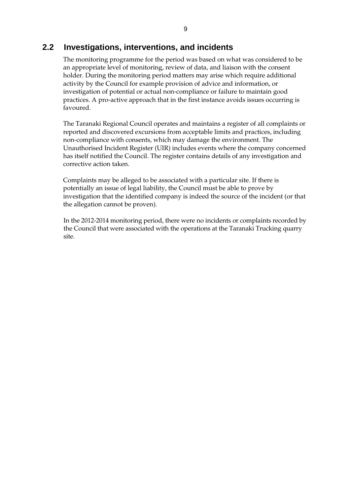### **2.2 Investigations, interventions, and incidents**

The monitoring programme for the period was based on what was considered to be an appropriate level of monitoring, review of data, and liaison with the consent holder. During the monitoring period matters may arise which require additional activity by the Council for example provision of advice and information, or investigation of potential or actual non-compliance or failure to maintain good practices. A pro-active approach that in the first instance avoids issues occurring is favoured.

The Taranaki Regional Council operates and maintains a register of all complaints or reported and discovered excursions from acceptable limits and practices, including non-compliance with consents, which may damage the environment. The Unauthorised Incident Register (UIR) includes events where the company concerned has itself notified the Council. The register contains details of any investigation and corrective action taken.

Complaints may be alleged to be associated with a particular site. If there is potentially an issue of legal liability, the Council must be able to prove by investigation that the identified company is indeed the source of the incident (or that the allegation cannot be proven).

In the 2012-2014 monitoring period, there were no incidents or complaints recorded by the Council that were associated with the operations at the Taranaki Trucking quarry site.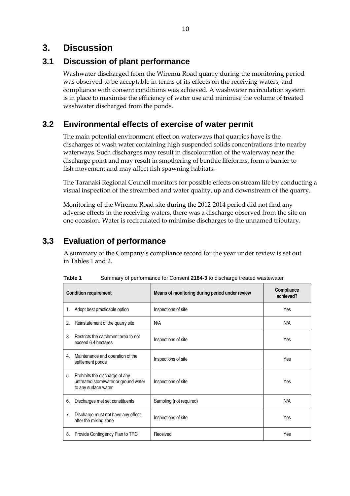## **3. Discussion**

## **3.1 Discussion of plant performance**

Washwater discharged from the Wiremu Road quarry during the monitoring period was observed to be acceptable in terms of its effects on the receiving waters, and compliance with consent conditions was achieved. A washwater recirculation system is in place to maximise the efficiency of water use and minimise the volume of treated washwater discharged from the ponds.

## **3.2 Environmental effects of exercise of water permit**

The main potential environment effect on waterways that quarries have is the discharges of wash water containing high suspended solids concentrations into nearby waterways. Such discharges may result in discolouration of the waterway near the discharge point and may result in smothering of benthic lifeforms, form a barrier to fish movement and may affect fish spawning habitats.

The Taranaki Regional Council monitors for possible effects on stream life by conducting a visual inspection of the streambed and water quality, up and downstream of the quarry.

Monitoring of the Wiremu Road site during the 2012-2014 period did not find any adverse effects in the receiving waters, there was a discharge observed from the site on one occasion. Water is recirculated to minimise discharges to the unnamed tributary.

## **3.3 Evaluation of performance**

A summary of the Company's compliance record for the year under review is set out in Tables 1 and 2.

|    | <b>Condition requirement</b>                                                                   | Means of monitoring during period under review | Compliance<br>achieved? |
|----|------------------------------------------------------------------------------------------------|------------------------------------------------|-------------------------|
| 1. | Adopt best practicable option                                                                  | Inspections of site                            | Yes                     |
| 2. | Reinstatement of the quarry site                                                               | N/A                                            | N/A                     |
| 3. | Restricts the catchment area to not<br>exceed 6.4 hectares                                     | Inspections of site                            | Yes                     |
| 4. | Maintenance and operation of the<br>settlement ponds                                           | Inspections of site                            | Yes                     |
| 5. | Prohibits the discharge of any<br>untreated stormwater or ground water<br>to any surface water | Inspections of site                            | Yes                     |
| 6. | Discharges met set constituents                                                                | Sampling (not required)                        | N/A                     |
| 7. | Discharge must not have any effect<br>after the mixing zone                                    | Inspections of site                            | Yes                     |
| 8. | Provide Contingency Plan to TRC                                                                | Received                                       | Yes                     |

**Table 1** Summary of performance for Consent **2184-3** to discharge treated wastewater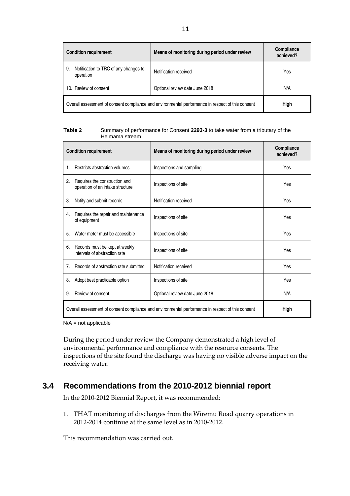| <b>Condition requirement</b>                                                                              | Means of monitoring during period under review | Compliance<br>achieved? |
|-----------------------------------------------------------------------------------------------------------|------------------------------------------------|-------------------------|
| Notification to TRC of any changes to<br>9.<br>operation                                                  | Notification received                          | Yes                     |
| 10. Review of consent                                                                                     | Optional review date June 2018                 | N/A                     |
| Overall assessment of consent compliance and environmental performance in respect of this consent<br>High |                                                |                         |

| Table 2 | Summary of performance for Consent 2293-3 to take water from a tributary of the |
|---------|---------------------------------------------------------------------------------|
|         | Heimama stream                                                                  |

|                | <b>Condition requirement</b>                                                                              | Means of monitoring during period under review | Compliance<br>achieved? |
|----------------|-----------------------------------------------------------------------------------------------------------|------------------------------------------------|-------------------------|
| 1.             | Restricts abstraction volumes                                                                             | Inspections and sampling                       | Yes                     |
| 2.             | Requires the construction and<br>operation of an intake structure                                         | Inspections of site                            | Yes                     |
| 3.             | Notify and submit records                                                                                 | Notification received                          | Yes                     |
| 4.             | Requires the repair and maintenance<br>of equipment                                                       | Inspections of site                            | Yes                     |
| 5.             | Water meter must be accessible                                                                            | Inspections of site                            | Yes                     |
| 6.             | Records must be kept at weekly<br>intervals of abstraction rate                                           | Inspections of site                            | Yes                     |
| 7 <sub>1</sub> | Records of abstraction rate submitted                                                                     | Notification received                          | Yes                     |
| 8.             | Adopt best practicable option                                                                             | Inspections of site                            | Yes                     |
| 9.             | Review of consent                                                                                         | Optional review date June 2018                 | N/A                     |
|                | Overall assessment of consent compliance and environmental performance in respect of this consent<br>High |                                                |                         |

N/A = not applicable

During the period under review the Company demonstrated a high level of environmental performance and compliance with the resource consents. The inspections of the site found the discharge was having no visible adverse impact on the receiving water.

## **3.4 Recommendations from the 2010-2012 biennial report**

In the 2010-2012 Biennial Report, it was recommended:

1. THAT monitoring of discharges from the Wiremu Road quarry operations in 2012-2014 continue at the same level as in 2010-2012.

This recommendation was carried out.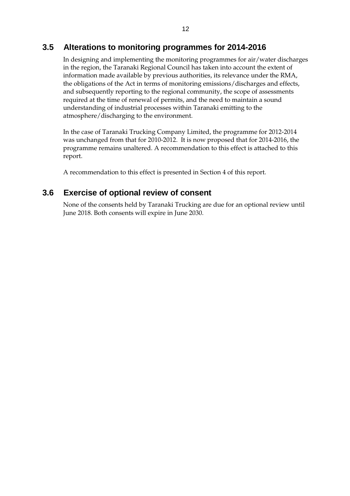## **3.5 Alterations to monitoring programmes for 2014-2016**

In designing and implementing the monitoring programmes for air/water discharges in the region, the Taranaki Regional Council has taken into account the extent of information made available by previous authorities, its relevance under the RMA, the obligations of the Act in terms of monitoring emissions/discharges and effects, and subsequently reporting to the regional community, the scope of assessments required at the time of renewal of permits, and the need to maintain a sound understanding of industrial processes within Taranaki emitting to the atmosphere/discharging to the environment.

In the case of Taranaki Trucking Company Limited, the programme for 2012-2014 was unchanged from that for 2010-2012. It is now proposed that for 2014-2016, the programme remains unaltered. A recommendation to this effect is attached to this report.

A recommendation to this effect is presented in Section 4 of this report.

### **3.6 Exercise of optional review of consent**

None of the consents held by Taranaki Trucking are due for an optional review until June 2018. Both consents will expire in June 2030.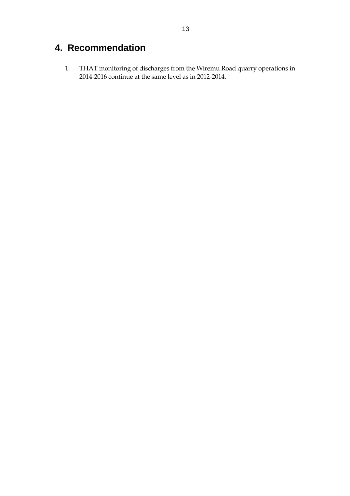## **4. Recommendation**

 1. THAT monitoring of discharges from the Wiremu Road quarry operations in 2014-2016 continue at the same level as in 2012-2014.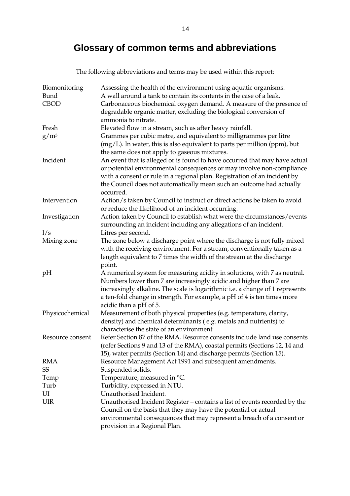## **Glossary of common terms and abbreviations**

The following abbreviations and terms may be used within this report:

| Biomonitoring    | Assessing the health of the environment using aquatic organisms.              |
|------------------|-------------------------------------------------------------------------------|
| Bund             | A wall around a tank to contain its contents in the case of a leak.           |
| <b>CBOD</b>      | Carbonaceous biochemical oxygen demand. A measure of the presence of          |
|                  | degradable organic matter, excluding the biological conversion of             |
|                  | ammonia to nitrate.                                                           |
| Fresh            | Elevated flow in a stream, such as after heavy rainfall.                      |
| $g/m^3$          | Grammes per cubic metre, and equivalent to milligrammes per litre             |
|                  | $(mg/L)$ . In water, this is also equivalent to parts per million (ppm), but  |
|                  | the same does not apply to gaseous mixtures.                                  |
| Incident         | An event that is alleged or is found to have occurred that may have actual    |
|                  | or potential environmental consequences or may involve non-compliance         |
|                  | with a consent or rule in a regional plan. Registration of an incident by     |
|                  | the Council does not automatically mean such an outcome had actually          |
|                  | occurred.                                                                     |
| Intervention     | Action/s taken by Council to instruct or direct actions be taken to avoid     |
|                  | or reduce the likelihood of an incident occurring.                            |
| Investigation    | Action taken by Council to establish what were the circumstances/events       |
|                  | surrounding an incident including any allegations of an incident.             |
| 1/s              | Litres per second.                                                            |
| Mixing zone      | The zone below a discharge point where the discharge is not fully mixed       |
|                  | with the receiving environment. For a stream, conventionally taken as a       |
|                  | length equivalent to 7 times the width of the stream at the discharge         |
|                  | point.                                                                        |
| pH               | A numerical system for measuring acidity in solutions, with 7 as neutral.     |
|                  | Numbers lower than 7 are increasingly acidic and higher than 7 are            |
|                  | increasingly alkaline. The scale is logarithmic i.e. a change of 1 represents |
|                  | a ten-fold change in strength. For example, a pH of 4 is ten times more       |
|                  | acidic than a pH of 5.                                                        |
| Physicochemical  | Measurement of both physical properties (e.g. temperature, clarity,           |
|                  | density) and chemical determinants (e.g. metals and nutrients) to             |
|                  | characterise the state of an environment.                                     |
| Resource consent | Refer Section 87 of the RMA. Resource consents include land use consents      |
|                  | (refer Sections 9 and 13 of the RMA), coastal permits (Sections 12, 14 and    |
|                  | 15), water permits (Section 14) and discharge permits (Section 15).           |
| RMA              | Resource Management Act 1991 and subsequent amendments.                       |
| SS               | Suspended solids.                                                             |
| Temp             | Temperature, measured in °C.                                                  |
| Turb             | Turbidity, expressed in NTU.                                                  |
| UI               | Unauthorised Incident.                                                        |
| <b>UIR</b>       | Unauthorised Incident Register - contains a list of events recorded by the    |
|                  | Council on the basis that they may have the potential or actual               |
|                  | environmental consequences that may represent a breach of a consent or        |
|                  | provision in a Regional Plan.                                                 |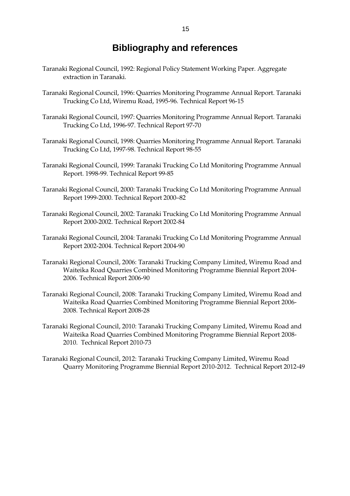## **Bibliography and references**

- Taranaki Regional Council, 1992: Regional Policy Statement Working Paper. Aggregate extraction in Taranaki.
- Taranaki Regional Council, 1996: Quarries Monitoring Programme Annual Report. Taranaki Trucking Co Ltd, Wiremu Road, 1995-96. Technical Report 96-15
- Taranaki Regional Council, 1997: Quarries Monitoring Programme Annual Report. Taranaki Trucking Co Ltd, 1996-97. Technical Report 97-70
- Taranaki Regional Council, 1998: Quarries Monitoring Programme Annual Report. Taranaki Trucking Co Ltd, 1997-98. Technical Report 98-55
- Taranaki Regional Council, 1999: Taranaki Trucking Co Ltd Monitoring Programme Annual Report. 1998-99. Technical Report 99-85
- Taranaki Regional Council, 2000: Taranaki Trucking Co Ltd Monitoring Programme Annual Report 1999-2000. Technical Report 2000–82
- Taranaki Regional Council, 2002: Taranaki Trucking Co Ltd Monitoring Programme Annual Report 2000-2002. Technical Report 2002-84
- Taranaki Regional Council, 2004: Taranaki Trucking Co Ltd Monitoring Programme Annual Report 2002-2004. Technical Report 2004-90
- Taranaki Regional Council, 2006: Taranaki Trucking Company Limited, Wiremu Road and Waiteika Road Quarries Combined Monitoring Programme Biennial Report 2004- 2006. Technical Report 2006-90
- Taranaki Regional Council, 2008: Taranaki Trucking Company Limited, Wiremu Road and Waiteika Road Quarries Combined Monitoring Programme Biennial Report 2006- 2008. Technical Report 2008-28
- Taranaki Regional Council, 2010: Taranaki Trucking Company Limited, Wiremu Road and Waiteika Road Quarries Combined Monitoring Programme Biennial Report 2008- 2010. Technical Report 2010-73
- Taranaki Regional Council, 2012: Taranaki Trucking Company Limited, Wiremu Road Quarry Monitoring Programme Biennial Report 2010-2012. Technical Report 2012-49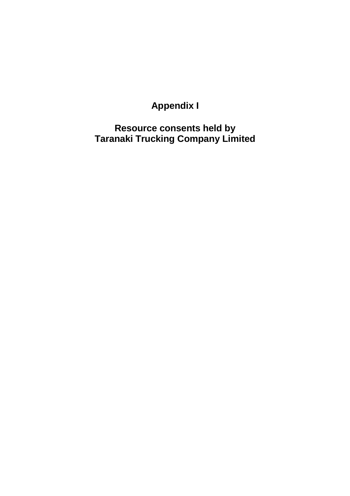# **Appendix I**

**Resource consents held by Taranaki Trucking Company Limited**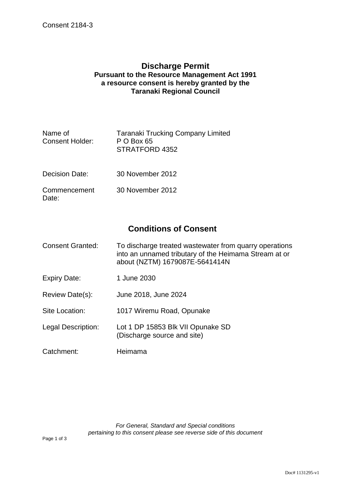#### **Discharge Permit Pursuant to the Resource Management Act 1991 a resource consent is hereby granted by the Taranaki Regional Council**

| Name of<br><b>Consent Holder:</b> | <b>Taranaki Trucking Company Limited</b><br>P O Box 65<br>STRATFORD 4352 |
|-----------------------------------|--------------------------------------------------------------------------|
| Decision Date:                    | 30 November 2012                                                         |
| Commencement<br>Date:             | 30 November 2012                                                         |

## **Conditions of Consent**

- Consent Granted: To discharge treated wastewater from quarry operations into an unnamed tributary of the Heimama Stream at or about (NZTM) 1679087E-5641414N
- Expiry Date: 1 June 2030
- Review Date(s): June 2018, June 2024
- Site Location: 1017 Wiremu Road, Opunake
- Legal Description: Lot 1 DP 15853 Blk VII Opunake SD (Discharge source and site)
- Catchment: Heimama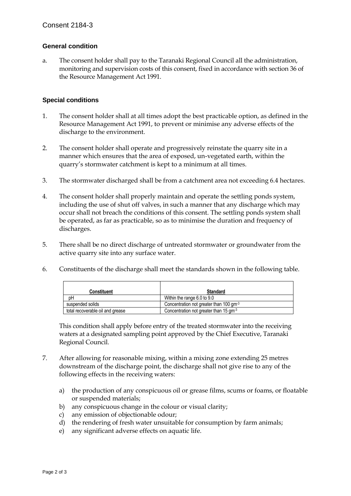#### **General condition**

a. The consent holder shall pay to the Taranaki Regional Council all the administration, monitoring and supervision costs of this consent, fixed in accordance with section 36 of the Resource Management Act 1991.

#### **Special conditions**

Ē

- 1. The consent holder shall at all times adopt the best practicable option, as defined in the Resource Management Act 1991, to prevent or minimise any adverse effects of the discharge to the environment.
- 2. The consent holder shall operate and progressively reinstate the quarry site in a manner which ensures that the area of exposed, un-vegetated earth, within the quarry's stormwater catchment is kept to a minimum at all times.
- 3. The stormwater discharged shall be from a catchment area not exceeding 6.4 hectares.
- 4. The consent holder shall properly maintain and operate the settling ponds system, including the use of shut off valves, in such a manner that any discharge which may occur shall not breach the conditions of this consent. The settling ponds system shall be operated, as far as practicable, so as to minimise the duration and frequency of discharges.
- 5. There shall be no direct discharge of untreated stormwater or groundwater from the active quarry site into any surface water.
- 6. Constituents of the discharge shall meet the standards shown in the following table.

| Constituent                      | <b>Standard</b>                                     |
|----------------------------------|-----------------------------------------------------|
| рH                               | Within the range 6.0 to 9.0                         |
| suspended solids                 | Concentration not greater than 100 gm <sup>-3</sup> |
| total recoverable oil and grease | Concentration not greater than 15 $\text{cm}^3$     |

This condition shall apply before entry of the treated stormwater into the receiving waters at a designated sampling point approved by the Chief Executive, Taranaki Regional Council.

- 7. After allowing for reasonable mixing, within a mixing zone extending 25 metres downstream of the discharge point, the discharge shall not give rise to any of the following effects in the receiving waters:
	- a) the production of any conspicuous oil or grease films, scums or foams, or floatable or suspended materials;
	- b) any conspicuous change in the colour or visual clarity;
	- c) any emission of objectionable odour;
	- d) the rendering of fresh water unsuitable for consumption by farm animals;
	- e) any significant adverse effects on aquatic life.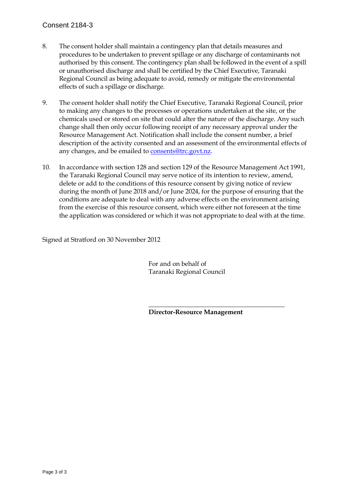#### Consent 2184-3

- 8. The consent holder shall maintain a contingency plan that details measures and procedures to be undertaken to prevent spillage or any discharge of contaminants not authorised by this consent. The contingency plan shall be followed in the event of a spill or unauthorised discharge and shall be certified by the Chief Executive, Taranaki Regional Council as being adequate to avoid, remedy or mitigate the environmental effects of such a spillage or discharge.
- 9. The consent holder shall notify the Chief Executive, Taranaki Regional Council, prior to making any changes to the processes or operations undertaken at the site, or the chemicals used or stored on site that could alter the nature of the discharge. Any such change shall then only occur following receipt of any necessary approval under the Resource Management Act. Notification shall include the consent number, a brief description of the activity consented and an assessment of the environmental effects of any changes, and be emailed to consents@trc.govt.nz.
- 10. In accordance with section 128 and section 129 of the Resource Management Act 1991, the Taranaki Regional Council may serve notice of its intention to review, amend, delete or add to the conditions of this resource consent by giving notice of review during the month of June 2018 and/or June 2024, for the purpose of ensuring that the conditions are adequate to deal with any adverse effects on the environment arising from the exercise of this resource consent, which were either not foreseen at the time the application was considered or which it was not appropriate to deal with at the time.

Signed at Stratford on 30 November 2012

 For and on behalf of Taranaki Regional Council

 $\overline{\phantom{a}}$  , which is a set of the contract of the contract of the contract of the contract of the contract of the contract of the contract of the contract of the contract of the contract of the contract of the contract

**Director-Resource Management**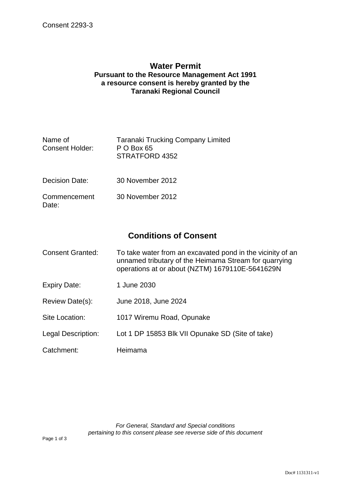#### **Water Permit Pursuant to the Resource Management Act 1991 a resource consent is hereby granted by the Taranaki Regional Council**

| Name of<br><b>Consent Holder:</b> | <b>Taranaki Trucking Company Limited</b><br>P O Box 65<br>STRATFORD 4352 |
|-----------------------------------|--------------------------------------------------------------------------|
| Decision Date:                    | 30 November 2012                                                         |
|                                   |                                                                          |

Commencement Date: 30 November 2012

## **Conditions of Consent**

| <b>Consent Granted:</b> | To take water from an excavated pond in the vicinity of an<br>unnamed tributary of the Heimama Stream for quarrying<br>operations at or about (NZTM) 1679110E-5641629N |
|-------------------------|------------------------------------------------------------------------------------------------------------------------------------------------------------------------|
| <b>Expiry Date:</b>     | 1 June 2030                                                                                                                                                            |
| Review Date(s):         | June 2018, June 2024                                                                                                                                                   |
| Site Location:          | 1017 Wiremu Road, Opunake                                                                                                                                              |
| Legal Description:      | Lot 1 DP 15853 Blk VII Opunake SD (Site of take)                                                                                                                       |
| Catchment:              | Heimama                                                                                                                                                                |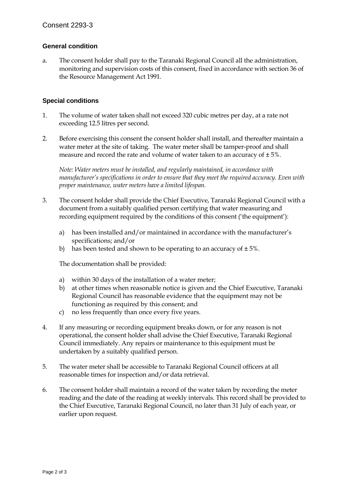#### **General condition**

a. The consent holder shall pay to the Taranaki Regional Council all the administration, monitoring and supervision costs of this consent, fixed in accordance with section 36 of the Resource Management Act 1991.

#### **Special conditions**

- 1. The volume of water taken shall not exceed 320 cubic metres per day, at a rate not exceeding 12.5 litres per second.
- 2. Before exercising this consent the consent holder shall install, and thereafter maintain a water meter at the site of taking. The water meter shall be tamper-proof and shall measure and record the rate and volume of water taken to an accuracy of  $\pm 5\%$ .

*Note: Water meters must be installed, and regularly maintained, in accordance with manufacturer's specifications in order to ensure that they meet the required accuracy. Even with proper maintenance, water meters have a limited lifespan.* 

- 3. The consent holder shall provide the Chief Executive, Taranaki Regional Council with a document from a suitably qualified person certifying that water measuring and recording equipment required by the conditions of this consent ('the equipment'):
	- a) has been installed and/or maintained in accordance with the manufacturer's specifications; and/or
	- b) has been tested and shown to be operating to an accuracy of  $\pm 5\%$ .

The documentation shall be provided:

- a) within 30 days of the installation of a water meter;
- b) at other times when reasonable notice is given and the Chief Executive, Taranaki Regional Council has reasonable evidence that the equipment may not be functioning as required by this consent; and
- c) no less frequently than once every five years.
- 4. If any measuring or recording equipment breaks down, or for any reason is not operational, the consent holder shall advise the Chief Executive, Taranaki Regional Council immediately. Any repairs or maintenance to this equipment must be undertaken by a suitably qualified person.
- 5. The water meter shall be accessible to Taranaki Regional Council officers at all reasonable times for inspection and/or data retrieval.
- 6. The consent holder shall maintain a record of the water taken by recording the meter reading and the date of the reading at weekly intervals. This record shall be provided to the Chief Executive, Taranaki Regional Council, no later than 31 July of each year, or earlier upon request.